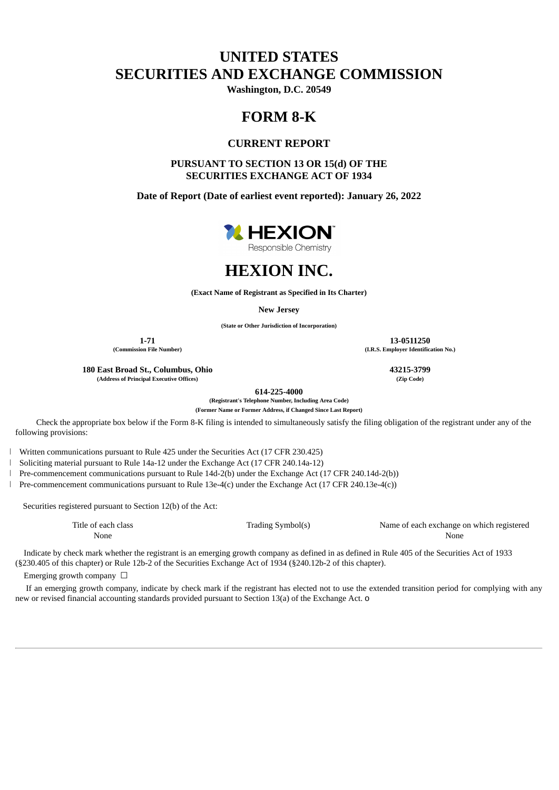# **UNITED STATES SECURITIES AND EXCHANGE COMMISSION**

**Washington, D.C. 20549**

## **FORM 8-K**

## **CURRENT REPORT**

## **PURSUANT TO SECTION 13 OR 15(d) OF THE SECURITIES EXCHANGE ACT OF 1934**

**Date of Report (Date of earliest event reported): January 26, 2022**



Responsible Chemistry



**(Exact Name of Registrant as Specified in Its Charter)**

**New Jersey**

**(State or Other Jurisdiction of Incorporation)**

**180 East Broad St., Columbus, Ohio 43215-3799 (Address of Principal Executive Offices) (Zip Code)**

**614-225-4000**

**(Registrant's Telephone Number, Including Area Code)**

**(Former Name or Former Address, if Changed Since Last Report)**

Check the appropriate box below if the Form 8-K filing is intended to simultaneously satisfy the filing obligation of the registrant under any of the following provisions:

Written communications pursuant to Rule 425 under the Securities Act (17 CFR 230.425)

Soliciting material pursuant to Rule 14a-12 under the Exchange Act (17 CFR 240.14a-12)

Pre-commencement communications pursuant to Rule 14d-2(b) under the Exchange Act (17 CFR 240.14d-2(b))

Pre-commencement communications pursuant to Rule 13e-4(c) under the Exchange Act (17 CFR 240.13e-4(c))

Securities registered pursuant to Section 12(b) of the Act:

Title of each class Trading Symbol(s) Name of each exchange on which registered None None

Indicate by check mark whether the registrant is an emerging growth company as defined in as defined in Rule 405 of the Securities Act of 1933 (§230.405 of this chapter) or Rule 12b-2 of the Securities Exchange Act of 1934 (§240.12b-2 of this chapter).

Emerging growth company  $\Box$ 

If an emerging growth company, indicate by check mark if the registrant has elected not to use the extended transition period for complying with any new or revised financial accounting standards provided pursuant to Section 13(a) of the Exchange Act. o

**1-71 13-0511250 (Commission File Number) (I.R.S. Employer Identification No.)**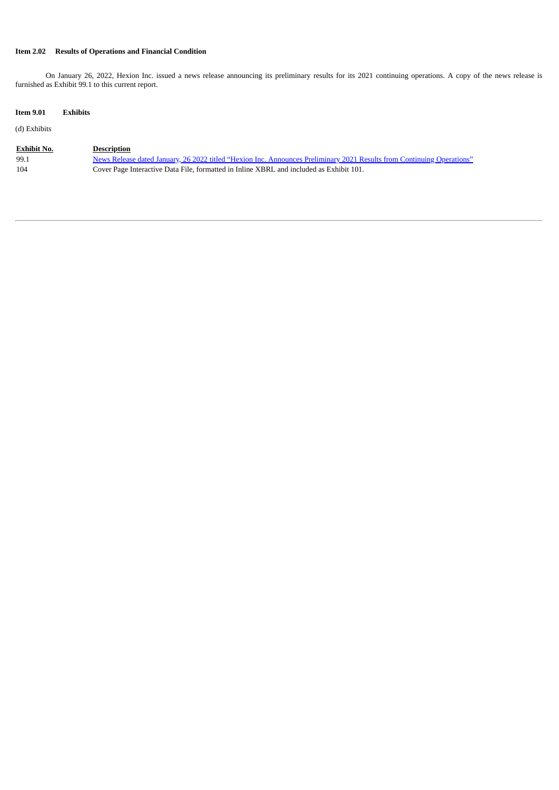### **Item 2.02 Results of Operations and Financial Condition**

On January 26, 2022, Hexion Inc. issued a news release announcing its preliminary results for its 2021 continuing operations. A copy of the news release is furnished as Exhibit 99.1 to this current report.

## **Item 9.01 Exhibits**

(d) Exhibits

| <b>Exhibit No.</b> | <b>Description</b>                                                                                                     |
|--------------------|------------------------------------------------------------------------------------------------------------------------|
| 99.1               | News Release dated January, 26 2022 titled "Hexion Inc. Announces Preliminary 2021 Results from Continuing Operations" |
| 104                | Cover Page Interactive Data File, formatted in Inline XBRL and included as Exhibit 101.                                |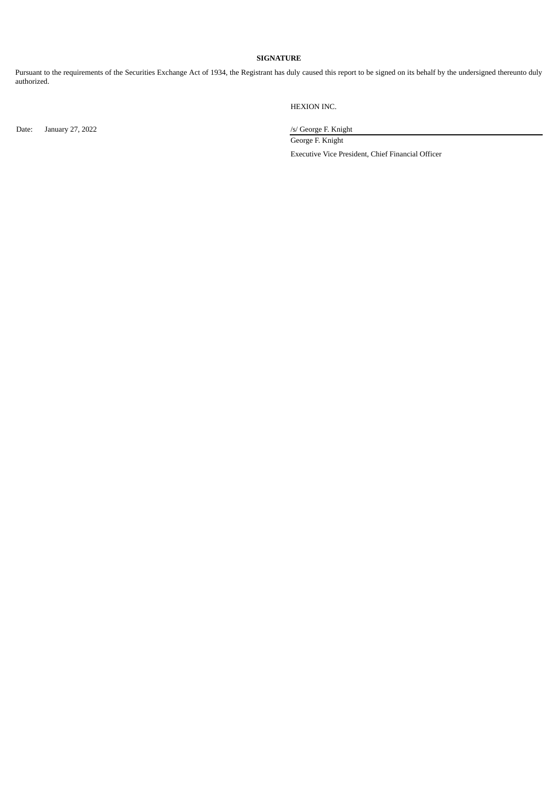#### **SIGNATURE**

Pursuant to the requirements of the Securities Exchange Act of 1934, the Registrant has duly caused this report to be signed on its behalf by the undersigned thereunto duly authorized.

HEXION INC.

Date: January 27, 2022 <br>
January 27, 2022 <br>
January 27, 2022 <br>
January 27, 2022 <br>
January 27, 2022 <br>
January 27, 2022 <br>
January 27, 2022 <br>
January 27, 2022 <br>
January 28, 2023 <br>
January 28, 2023 <br>
January 28, 2023 <br>
January

George F. Knight

Executive Vice President, Chief Financial Officer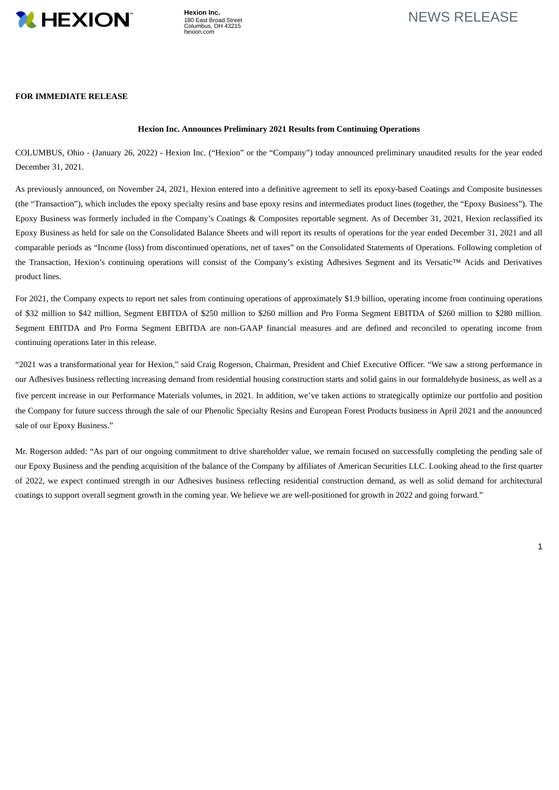<span id="page-3-0"></span>

**Hexion Inc.** 180 East Broad Street Columbus, OH 43215 hexion.com

## NEWS RELEASE

#### **FOR IMMEDIATE RELEASE**

#### **Hexion Inc. Announces Preliminary 2021 Results from Continuing Operations**

COLUMBUS, Ohio - (January 26, 2022) - Hexion Inc. ("Hexion" or the "Company") today announced preliminary unaudited results for the year ended December 31, 2021.

As previously announced, on November 24, 2021, Hexion entered into a definitive agreement to sell its epoxy-based Coatings and Composite businesses (the "Transaction"), which includes the epoxy specialty resins and base epoxy resins and intermediates product lines (together, the "Epoxy Business"). The Epoxy Business was formerly included in the Company's Coatings & Composites reportable segment. As of December 31, 2021, Hexion reclassified its Epoxy Business as held for sale on the Consolidated Balance Sheets and will report its results of operations for the year ended December 31, 2021 and all comparable periods as "Income (loss) from discontinued operations, net of taxes" on the Consolidated Statements of Operations. Following completion of the Transaction, Hexion's continuing operations will consist of the Company's existing Adhesives Segment and its Versatic™ Acids and Derivatives product lines.

For 2021, the Company expects to report net sales from continuing operations of approximately \$1.9 billion, operating income from continuing operations of \$32 million to \$42 million, Segment EBITDA of \$250 million to \$260 million and Pro Forma Segment EBITDA of \$260 million to \$280 million. Segment EBITDA and Pro Forma Segment EBITDA are non-GAAP financial measures and are defined and reconciled to operating income from continuing operations later in this release.

"2021 was a transformational year for Hexion," said Craig Rogerson, Chairman, President and Chief Executive Officer. "We saw a strong performance in our Adhesives business reflecting increasing demand from residential housing construction starts and solid gains in our formaldehyde business, as well as a five percent increase in our Performance Materials volumes, in 2021. In addition, we've taken actions to strategically optimize our portfolio and position the Company for future success through the sale of our Phenolic Specialty Resins and European Forest Products business in April 2021 and the announced sale of our Epoxy Business."

Mr. Rogerson added: "As part of our ongoing commitment to drive shareholder value, we remain focused on successfully completing the pending sale of our Epoxy Business and the pending acquisition of the balance of the Company by affiliates of American Securities LLC. Looking ahead to the first quarter of 2022, we expect continued strength in our Adhesives business reflecting residential construction demand, as well as solid demand for architectural coatings to support overall segment growth in the coming year. We believe we are well-positioned for growth in 2022 and going forward."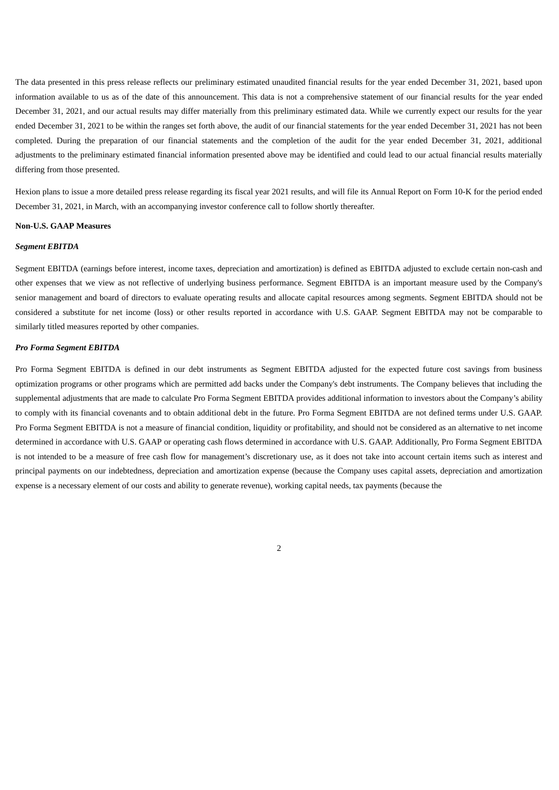The data presented in this press release reflects our preliminary estimated unaudited financial results for the year ended December 31, 2021, based upon information available to us as of the date of this announcement. This data is not a comprehensive statement of our financial results for the year ended December 31, 2021, and our actual results may differ materially from this preliminary estimated data. While we currently expect our results for the year ended December 31, 2021 to be within the ranges set forth above, the audit of our financial statements for the year ended December 31, 2021 has not been completed. During the preparation of our financial statements and the completion of the audit for the year ended December 31, 2021, additional adjustments to the preliminary estimated financial information presented above may be identified and could lead to our actual financial results materially differing from those presented.

Hexion plans to issue a more detailed press release regarding its fiscal year 2021 results, and will file its Annual Report on Form 10-K for the period ended December 31, 2021, in March, with an accompanying investor conference call to follow shortly thereafter.

#### **Non-U.S. GAAP Measures**

#### *Segment EBITDA*

Segment EBITDA (earnings before interest, income taxes, depreciation and amortization) is defined as EBITDA adjusted to exclude certain non-cash and other expenses that we view as not reflective of underlying business performance. Segment EBITDA is an important measure used by the Company's senior management and board of directors to evaluate operating results and allocate capital resources among segments. Segment EBITDA should not be considered a substitute for net income (loss) or other results reported in accordance with U.S. GAAP. Segment EBITDA may not be comparable to similarly titled measures reported by other companies.

#### *Pro Forma Segment EBITDA*

Pro Forma Segment EBITDA is defined in our debt instruments as Segment EBITDA adjusted for the expected future cost savings from business optimization programs or other programs which are permitted add backs under the Company's debt instruments. The Company believes that including the supplemental adjustments that are made to calculate Pro Forma Segment EBITDA provides additional information to investors about the Company's ability to comply with its financial covenants and to obtain additional debt in the future. Pro Forma Segment EBITDA are not defined terms under U.S. GAAP. Pro Forma Segment EBITDA is not a measure of financial condition, liquidity or profitability, and should not be considered as an alternative to net income determined in accordance with U.S. GAAP or operating cash flows determined in accordance with U.S. GAAP. Additionally, Pro Forma Segment EBITDA is not intended to be a measure of free cash flow for management's discretionary use, as it does not take into account certain items such as interest and principal payments on our indebtedness, depreciation and amortization expense (because the Company uses capital assets, depreciation and amortization expense is a necessary element of our costs and ability to generate revenue), working capital needs, tax payments (because the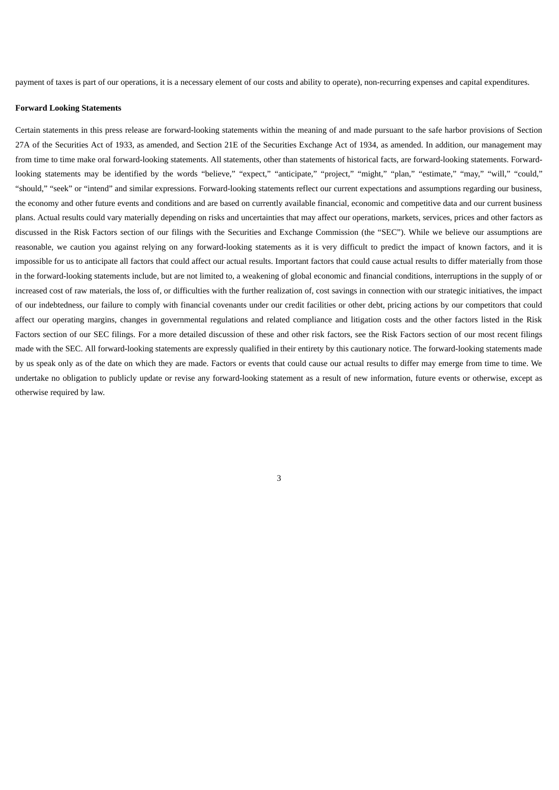payment of taxes is part of our operations, it is a necessary element of our costs and ability to operate), non-recurring expenses and capital expenditures.

#### **Forward Looking Statements**

Certain statements in this press release are forward-looking statements within the meaning of and made pursuant to the safe harbor provisions of Section 27A of the Securities Act of 1933, as amended, and Section 21E of the Securities Exchange Act of 1934, as amended. In addition, our management may from time to time make oral forward-looking statements. All statements, other than statements of historical facts, are forward-looking statements. Forwardlooking statements may be identified by the words "believe," "expect," "anticipate," "project," "might," "plan," "estimate," "may," "will," "could," "should," "seek" or "intend" and similar expressions. Forward-looking statements reflect our current expectations and assumptions regarding our business, the economy and other future events and conditions and are based on currently available financial, economic and competitive data and our current business plans. Actual results could vary materially depending on risks and uncertainties that may affect our operations, markets, services, prices and other factors as discussed in the Risk Factors section of our filings with the Securities and Exchange Commission (the "SEC"). While we believe our assumptions are reasonable, we caution you against relying on any forward-looking statements as it is very difficult to predict the impact of known factors, and it is impossible for us to anticipate all factors that could affect our actual results. Important factors that could cause actual results to differ materially from those in the forward-looking statements include, but are not limited to, a weakening of global economic and financial conditions, interruptions in the supply of or increased cost of raw materials, the loss of, or difficulties with the further realization of, cost savings in connection with our strategic initiatives, the impact of our indebtedness, our failure to comply with financial covenants under our credit facilities or other debt, pricing actions by our competitors that could affect our operating margins, changes in governmental regulations and related compliance and litigation costs and the other factors listed in the Risk Factors section of our SEC filings. For a more detailed discussion of these and other risk factors, see the Risk Factors section of our most recent filings made with the SEC. All forward-looking statements are expressly qualified in their entirety by this cautionary notice. The forward-looking statements made by us speak only as of the date on which they are made. Factors or events that could cause our actual results to differ may emerge from time to time. We undertake no obligation to publicly update or revise any forward-looking statement as a result of new information, future events or otherwise, except as otherwise required by law.

3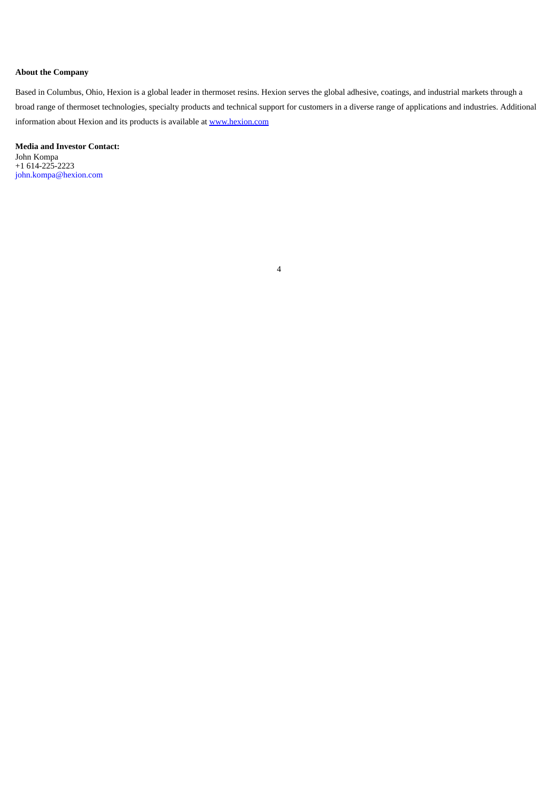### **About the Company**

Based in Columbus, Ohio, Hexion is a global leader in thermoset resins. Hexion serves the global adhesive, coatings, and industrial markets through a broad range of thermoset technologies, specialty products and technical support for customers in a diverse range of applications and industries. Additional information about Hexion and its products is available at www.hexion.com

4

**Media and Investor Contact:**

John Kompa +1 614-225-2223 john.kompa@hexion.com